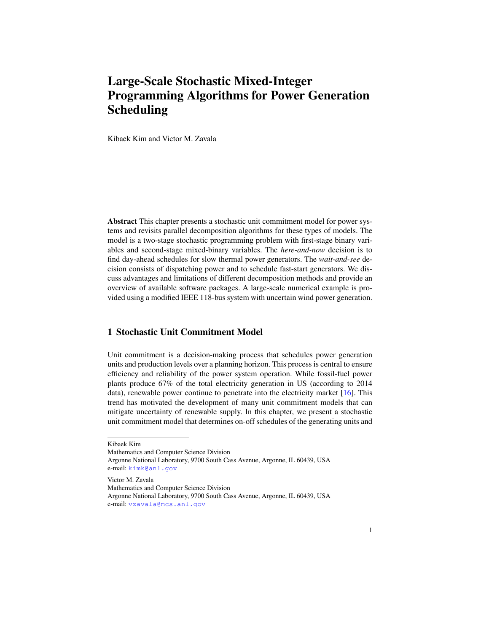# Large-Scale Stochastic Mixed-Integer Programming Algorithms for Power Generation Scheduling

Kibaek Kim and Victor M. Zavala

Abstract This chapter presents a stochastic unit commitment model for power systems and revisits parallel decomposition algorithms for these types of models. The model is a two-stage stochastic programming problem with first-stage binary variables and second-stage mixed-binary variables. The *here-and-now* decision is to find day-ahead schedules for slow thermal power generators. The *wait-and-see* decision consists of dispatching power and to schedule fast-start generators. We discuss advantages and limitations of different decomposition methods and provide an overview of available software packages. A large-scale numerical example is provided using a modified IEEE 118-bus system with uncertain wind power generation.

## <span id="page-0-0"></span>1 Stochastic Unit Commitment Model

Unit commitment is a decision-making process that schedules power generation units and production levels over a planning horizon. This process is central to ensure efficiency and reliability of the power system operation. While fossil-fuel power plants produce 67% of the total electricity generation in US (according to 2014 data), renewable power continue to penetrate into the electricity market [\[16\]](#page-17-0). This trend has motivated the development of many unit commitment models that can mitigate uncertainty of renewable supply. In this chapter, we present a stochastic unit commitment model that determines on-off schedules of the generating units and

Kibaek Kim

Mathematics and Computer Science Division

Argonne National Laboratory, 9700 South Cass Avenue, Argonne, IL 60439, USA e-mail: <kimk@anl.gov>

Victor M. Zavala

Mathematics and Computer Science Division

Argonne National Laboratory, 9700 South Cass Avenue, Argonne, IL 60439, USA e-mail: <vzavala@mcs.anl.gov>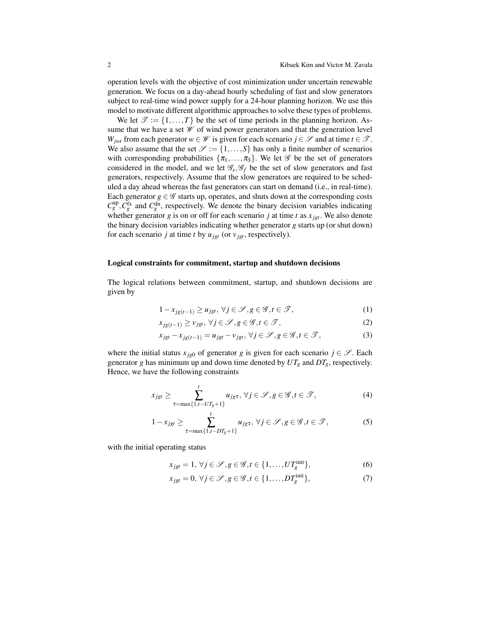operation levels with the objective of cost minimization under uncertain renewable generation. We focus on a day-ahead hourly scheduling of fast and slow generators subject to real-time wind power supply for a 24-hour planning horizon. We use this model to motivate different algorithmic approaches to solve these types of problems.

We let  $\mathcal{T} := \{1, ..., T\}$  be the set of time periods in the planning horizon. Assume that we have a set  $W$  of wind power generators and that the generation level *W*<sub>*jwt*</sub> from each generator  $w \in W$  is given for each scenario  $j \in \mathcal{S}$  and at time  $t \in \mathcal{T}$ . We also assume that the set  $\mathcal{S} := \{1, \ldots, S\}$  has only a finite number of scenarios with corresponding probabilities  $\{\pi_1, \ldots, \pi_S\}$ . We let  $\mathscr G$  be the set of generators considered in the model, and we let  $\mathcal{G}_s$ ,  $\mathcal{G}_f$  be the set of slow generators and fast generators, respectively. Assume that the slow generators are required to be scheduled a day ahead whereas the fast generators can start on demand (i.e., in real-time). Each generator  $g \in \mathscr{G}$  starts up, operates, and shuts down at the corresponding costs  $C_g^{\text{up}}$ ,  $C_g^{\text{fx}}$  and  $C_g^{\text{dn}}$ , respectively. We denote the binary decision variables indicating whether generator *g* is on or off for each scenario *j* at time *t* as  $x_{jet}$ . We also denote the binary decision variables indicating whether generator *g* starts up (or shut down) for each scenario *j* at time *t* by  $u_{jet}$  (or  $v_{jet}$ , respectively).

#### Logical constraints for commitment, startup and shutdown decisions

The logical relations between commitment, startup, and shutdown decisions are given by

<span id="page-1-0"></span>
$$
1 - x_{jg(t-1)} \ge u_{jgt}, \forall j \in \mathcal{S}, g \in \mathcal{G}, t \in \mathcal{T},
$$
\n<sup>(1)</sup>

$$
x_{jg(t-1)} \ge v_{jgt}, \forall j \in \mathcal{S}, g \in \mathcal{G}, t \in \mathcal{T},
$$
\n
$$
(2)
$$

$$
x_{jgt} - x_{jg(t-1)} = u_{jgt} - v_{jgt}, \forall j \in \mathcal{S}, g \in \mathcal{G}, t \in \mathcal{T},
$$
\n(3)

where the initial status  $x_{i\epsilon0}$  of generator g is given for each scenario  $j \in \mathscr{S}$ . Each generator *g* has minimum up and down time denoted by  $UT_g$  and  $DT_g$ , respectively. Hence, we have the following constraints

$$
x_{jgt} \geq \sum_{\tau = \max\{1, t - UT_g + 1\}}^{t} u_{jgt}, \ \forall j \in \mathcal{S}, g \in \mathcal{G}, t \in \mathcal{T},
$$
\n
$$
(4)
$$

$$
1 - x_{jgt} \ge \sum_{\tau = \max\{1, t - DT_g + 1\}}^{t} u_{jgt}, \ \forall j \in \mathcal{S}, g \in \mathcal{G}, t \in \mathcal{T},
$$
 (5)

with the initial operating status

$$
x_{jgt} = 1, \forall j \in \mathcal{S}, g \in \mathcal{G}, t \in \{1, \dots, UT_g^{\text{init}}\},\tag{6}
$$

$$
x_{jgt} = 0, \forall j \in \mathcal{S}, g \in \mathcal{G}, t \in \{1, \dots, DT_g^{\text{init}}\},\tag{7}
$$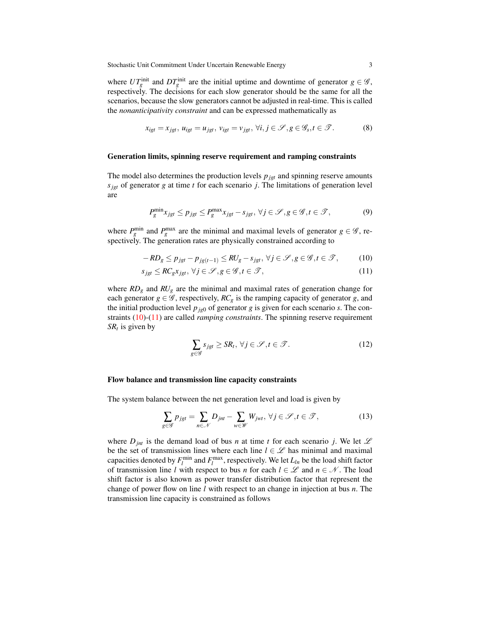where  $UT_g^{\text{init}}$  and  $DT_g^{\text{init}}$  are the initial uptime and downtime of generator  $g \in \mathscr{G}$ , respectively. The decisions for each slow generator should be the same for all the scenarios, because the slow generators cannot be adjusted in real-time. This is called the *nonanticipativity constraint* and can be expressed mathematically as

<span id="page-2-2"></span>
$$
x_{igt} = x_{jgt}, u_{igt} = u_{jgt}, v_{igt} = v_{jgt}, \forall i, j \in \mathcal{S}, g \in \mathcal{G}_s, t \in \mathcal{T}.
$$
 (8)

#### Generation limits, spinning reserve requirement and ramping constraints

The model also determines the production levels  $p_{jgt}$  and spinning reserve amounts  $s_{jgt}$  of generator *g* at time *t* for each scenario *j*. The limitations of generation level are

$$
P_g^{\min} x_{jgt} \le p_{jgt} \le P_g^{\max} x_{jgt} - s_{jgt}, \ \forall j \in \mathcal{S}, g \in \mathcal{G}, t \in \mathcal{T},\tag{9}
$$

where  $P_g^{\text{min}}$  and  $P_g^{\text{max}}$  are the minimal and maximal levels of generator  $g \in \mathscr{G}$ , respectively. The generation rates are physically constrained according to

$$
-RD_{g} \le p_{jgt} - p_{jg(t-1)} \le RU_{g} - s_{jgt}, \forall j \in \mathcal{S}, g \in \mathcal{G}, t \in \mathcal{T},\tag{10}
$$

$$
s_{jgt} \le RC_g x_{jgt}, \forall j \in \mathcal{S}, g \in \mathcal{G}, t \in \mathcal{T},\tag{11}
$$

where *RD<sup>g</sup>* and *RU<sup>g</sup>* are the minimal and maximal rates of generation change for each generator  $g \in \mathscr{G}$ , respectively,  $RC_g$  is the ramping capacity of generator g, and the initial production level  $p_{jg0}$  of generator  $g$  is given for each scenario  $s$ . The constraints [\(10\)](#page-2-0)-[\(11\)](#page-2-1) are called *ramping constraints*. The spinning reserve requirement *SR<sup>t</sup>* is given by

<span id="page-2-1"></span><span id="page-2-0"></span>
$$
\sum_{g \in \mathcal{G}} s_{igt} \ge SR_t, \,\forall j \in \mathcal{S}, t \in \mathcal{T}.\tag{12}
$$

#### Flow balance and transmission line capacity constraints

The system balance between the net generation level and load is given by

$$
\sum_{g \in \mathcal{G}} p_{jgt} = \sum_{n \in \mathcal{N}} D_{jnt} - \sum_{w \in \mathcal{W}} W_{jwt}, \,\forall j \in \mathcal{S}, t \in \mathcal{T},\tag{13}
$$

where  $D_{jnt}$  is the demand load of bus *n* at time *t* for each scenario *j*. We let  $\mathscr L$ be the set of transmission lines where each line  $l \in \mathcal{L}$  has minimal and maximal capacities denoted by  $F_l^{\text{min}}$  and  $F_l^{\text{max}}$ , respectively. We let  $L_{ln}$  be the load shift factor of transmission line *l* with respect to bus *n* for each  $l \in \mathcal{L}$  and  $n \in \mathcal{N}$ . The load shift factor is also known as power transfer distribution factor that represent the change of power flow on line *l* with respect to an change in injection at bus *n*. The transmission line capacity is constrained as follows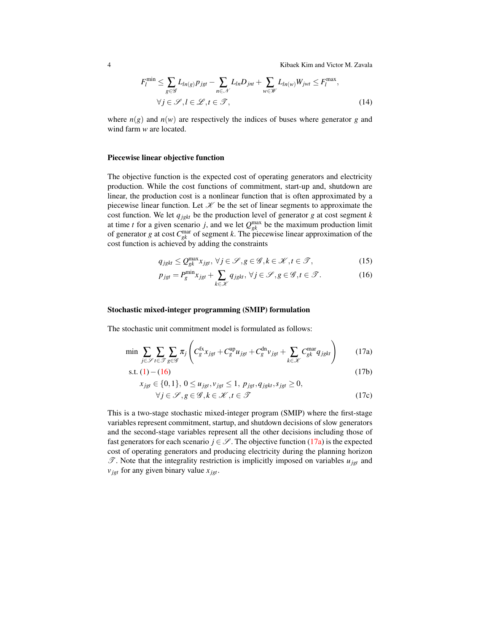4 Kibaek Kim and Victor M. Zavala

$$
F_l^{\min} \le \sum_{g \in \mathcal{G}} L_{ln(g)} p_{jgt} - \sum_{n \in \mathcal{N}} L_{ln} D_{jnt} + \sum_{w \in \mathcal{W}} L_{ln(w)} W_{jwt} \le F_l^{\max},
$$
  
\n
$$
\forall j \in \mathcal{S}, l \in \mathcal{L}, t \in \mathcal{T},
$$
\n(14)

where  $n(g)$  and  $n(w)$  are respectively the indices of buses where generator g and wind farm *w* are located.

#### Piecewise linear objective function

The objective function is the expected cost of operating generators and electricity production. While the cost functions of commitment, start-up and, shutdown are linear, the production cost is a nonlinear function that is often approximated by a piecewise linear function. Let  $K$  be the set of linear segments to approximate the cost function. We let *qjgkt* be the production level of generator *g* at cost segment *k* at time *t* for a given scenario *j*, and we let  $Q_{gk}^{\max}$  be the maximum production limit of generator *g* at cost  $C_{gk}^{mar}$  of segment *k*. The piecewise linear approximation of the cost function is achieved by adding the constraints

$$
q_{\text{j}gkt} \le Q_{gk}^{\max} x_{\text{j}gt}, \,\forall j \in \mathcal{S}, g \in \mathcal{G}, k \in \mathcal{K}, t \in \mathcal{T},\tag{15}
$$

<span id="page-3-1"></span><span id="page-3-0"></span>
$$
p_{jgt} = P_g^{\min} x_{jgt} + \sum_{k \in \mathcal{K}} q_{jgtt}, \ \forall j \in \mathcal{S}, g \in \mathcal{G}, t \in \mathcal{T}.
$$
 (16)

#### Stochastic mixed-integer programming (SMIP) formulation

The stochastic unit commitment model is formulated as follows:

$$
\min \sum_{j \in \mathcal{S}} \sum_{t \in \mathcal{I}} \sum_{g \in \mathcal{G}} \pi_j \left( C_g^{\text{fx}} x_{jgt} + C_g^{\text{up}} u_{jgt} + C_g^{\text{dn}} v_{jgt} + \sum_{k \in \mathcal{K}} C_{gk}^{\text{mar}} q_{jgt} \right) \tag{17a}
$$

s.t. 
$$
(1) - (16)
$$
 (17b)

$$
x_{jgt} \in \{0, 1\}, 0 \le u_{jgt}, v_{jgt} \le 1, p_{jgt}, q_{jgt}, s_{jgt} \ge 0,
$$
  
\n
$$
\forall j \in \mathcal{S}, g \in \mathcal{G}, k \in \mathcal{K}, t \in \mathcal{I}
$$
 (17c)

This is a two-stage stochastic mixed-integer program (SMIP) where the first-stage variables represent commitment, startup, and shutdown decisions of slow generators and the second-stage variables represent all the other decisions including those of fast generators for each scenario  $j \in \mathcal{S}$ . The objective function [\(17a\)](#page-3-1) is the expected cost of operating generators and producing electricity during the planning horizon  $\mathscr{T}$ . Note that the integrality restriction is implicitly imposed on variables  $u_{jgt}$  and  $v_{\text{jet}}$  for any given binary value  $x_{\text{jet}}$ .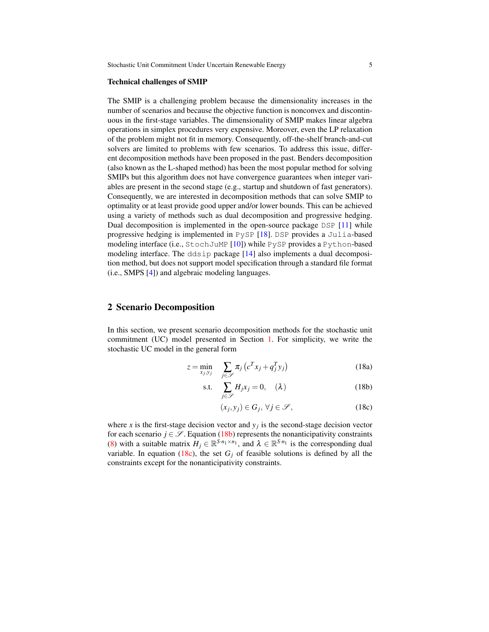#### Technical challenges of SMIP

The SMIP is a challenging problem because the dimensionality increases in the number of scenarios and because the objective function is nonconvex and discontinuous in the first-stage variables. The dimensionality of SMIP makes linear algebra operations in simplex procedures very expensive. Moreover, even the LP relaxation of the problem might not fit in memory. Consequently, off-the-shelf branch-and-cut solvers are limited to problems with few scenarios. To address this issue, different decomposition methods have been proposed in the past. Benders decomposition (also known as the L-shaped method) has been the most popular method for solving SMIPs but this algorithm does not have convergence guarantees when integer variables are present in the second stage (e.g., startup and shutdown of fast generators). Consequently, we are interested in decomposition methods that can solve SMIP to optimality or at least provide good upper and/or lower bounds. This can be achieved using a variety of methods such as dual decomposition and progressive hedging. Dual decomposition is implemented in the open-source package DSP [\[11\]](#page-17-1) while progressive hedging is implemented in PySP [\[18\]](#page-17-2). DSP provides a Julia-based modeling interface (i.e., StochJuMP [\[10\]](#page-17-3)) while PySP provides a Python-based modeling interface. The ddsip package [\[14\]](#page-17-4) also implements a dual decomposition method, but does not support model specification through a standard file format (i.e., SMPS [\[4\]](#page-17-5)) and algebraic modeling languages.

## <span id="page-4-3"></span>2 Scenario Decomposition

In this section, we present scenario decomposition methods for the stochastic unit commitment (UC) model presented in Section [1.](#page-0-0) For simplicity, we write the stochastic UC model in the general form

$$
z = \min_{x_j, y_j} \sum_{j \in \mathcal{S}} \pi_j \left( c^T x_j + q_j^T y_j \right) \tag{18a}
$$

<span id="page-4-2"></span>s.t. 
$$
\sum_{j \in \mathscr{S}} H_j x_j = 0, \quad (\lambda)
$$
 (18b)

<span id="page-4-1"></span><span id="page-4-0"></span>
$$
(x_j, y_j) \in G_j, \,\forall j \in \mathscr{S},\tag{18c}
$$

where  $x$  is the first-stage decision vector and  $y_j$  is the second-stage decision vector for each scenario  $j \in \mathcal{S}$ . Equation [\(18b\)](#page-4-0) represents the nonanticipativity constraints [\(8\)](#page-2-2) with a suitable matrix  $H_j \in \mathbb{R}^{S \cdot n_1 \times n_1}$ , and  $\lambda \in \mathbb{R}^{S \cdot n_1}$  is the corresponding dual variable. In equation [\(18c\)](#page-4-1), the set  $G_i$  of feasible solutions is defined by all the constraints except for the nonanticipativity constraints.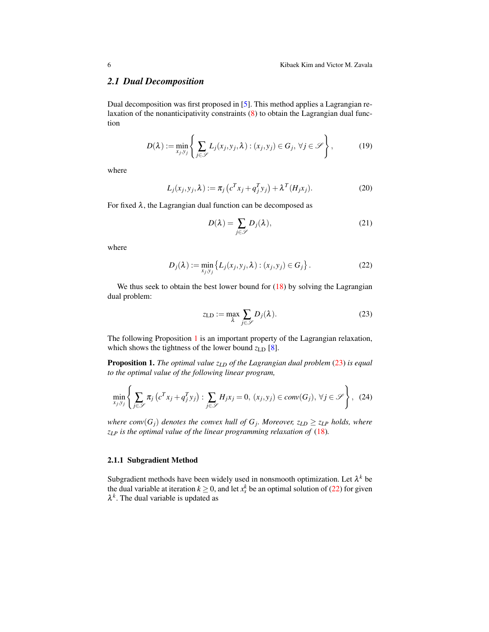## *2.1 Dual Decomposition*

Dual decomposition was first proposed in [\[5\]](#page-17-6). This method applies a Lagrangian relaxation of the nonanticipativity constraints [\(8\)](#page-2-2) to obtain the Lagrangian dual function

$$
D(\lambda) := \min_{x_j, y_j} \left\{ \sum_{j \in \mathscr{S}} L_j(x_j, y_j, \lambda) : (x_j, y_j) \in G_j, \ \forall j \in \mathscr{S} \right\},\tag{19}
$$

where

$$
L_j(x_j, y_j, \lambda) := \pi_j \left( c^T x_j + q_j^T y_j \right) + \lambda^T (H_j x_j).
$$
 (20)

For fixed  $\lambda$ , the Lagrangian dual function can be decomposed as

<span id="page-5-2"></span>
$$
D(\lambda) = \sum_{j \in \mathcal{S}} D_j(\lambda),\tag{21}
$$

where

$$
D_j(\lambda) := \min_{x_j, y_j} \{ L_j(x_j, y_j, \lambda) : (x_j, y_j) \in G_j \}.
$$
 (22)

We thus seek to obtain the best lower bound for  $(18)$  by solving the Lagrangian dual problem:

<span id="page-5-1"></span><span id="page-5-0"></span>
$$
z_{\text{LD}} := \max_{\lambda} \sum_{j \in \mathscr{S}} D_j(\lambda). \tag{23}
$$

The following Proposition [1](#page-5-0) is an important property of the Lagrangian relaxation, which shows the tightness of the lower bound  $z_{LD}$  [\[8\]](#page-17-7).

Proposition 1. *The optimal value zLD of the Lagrangian dual problem* [\(23\)](#page-5-1) *is equal to the optimal value of the following linear program,*

$$
\min_{x_j, y_j} \left\{ \sum_{j \in \mathscr{S}} \pi_j \left( c^T x_j + q_j^T y_j \right) : \sum_{j \in \mathscr{S}} H_j x_j = 0, \ (x_j, y_j) \in conv(G_j), \ \forall j \in \mathscr{S} \right\}, \tag{24}
$$

*where conv* $(G_j)$  *denotes the convex hull of*  $G_j$ *. Moreover,*  $z_{LD} \geq z_{LP}$  *holds, where zLP is the optimal value of the linear programming relaxation of* [\(18\)](#page-4-2)*.*

## 2.1.1 Subgradient Method

Subgradient methods have been widely used in nonsmooth optimization. Let  $\lambda^k$  be the dual variable at iteration  $k \geq 0$ , and let  $x_s^k$  be an optimal solution of [\(22\)](#page-5-2) for given  $\lambda^k$ . The dual variable is updated as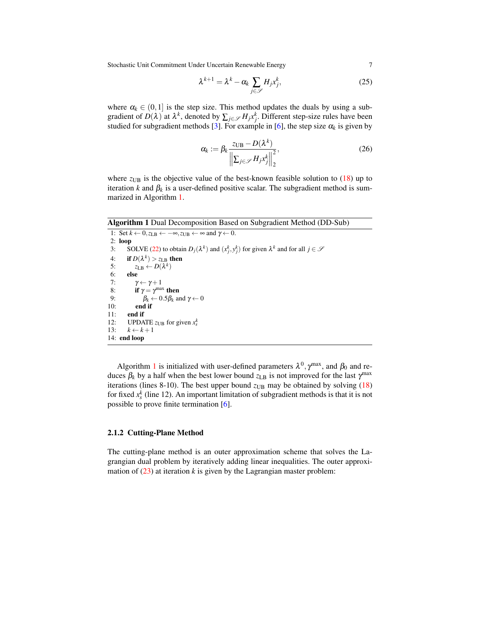Stochastic Unit Commitment Under Uncertain Renewable Energy 7

$$
\lambda^{k+1} = \lambda^k - \alpha_k \sum_{j \in \mathcal{S}} H_j x_j^k, \tag{25}
$$

where  $\alpha_k \in (0,1]$  is the step size. This method updates the duals by using a subgradient of  $D(\lambda)$  at  $\lambda^k$ , denoted by  $\sum_{j \in \mathcal{S}} H_j x_j^k$ . Different step-size rules have been studied for subgradient methods [\[3\]](#page-16-0). For example in [\[6\]](#page-17-8), the step size  $\alpha_k$  is given by

$$
\alpha_k := \beta_k \frac{z_{\text{UB}} - D(\lambda^k)}{\left\| \sum_{j \in \mathcal{S}} H_j x_j^k \right\|_2^2},\tag{26}
$$

where  $z_{UB}$  is the objective value of the best-known feasible solution to  $(18)$  up to iteration *k* and  $\beta_k$  is a user-defined positive scalar. The subgradient method is summarized in Algorithm [1.](#page-6-0)

<span id="page-6-0"></span>Algorithm 1 Dual Decomposition Based on Subgradient Method (DD-Sub)

1: Set  $k \leftarrow 0$ ,  $z_{LB} \leftarrow -\infty$ ,  $z_{UB} \leftarrow \infty$  and  $\gamma \leftarrow 0$ . 2:  $loop$ <br>3:  $S($ 3: SOLVE [\(22\)](#page-5-2) to obtain  $D_j(\lambda^k)$  and  $(x_j^k, y_j^k)$  for given  $\lambda^k$  and for all  $j \in \mathcal{S}$ 4: if  $D(\lambda^k) > z_{LB}$  then 5:  $z_{LB} \leftarrow D(\lambda^k)$ 6: else 7:  $\gamma \leftarrow \gamma + 1$ <br>8: **if**  $\gamma = \gamma^{\text{max}}$ 8: if  $\gamma = \gamma^{\text{max}}$  then 9:  $\beta_k \leftarrow 0.5\beta_k$  and  $\gamma \leftarrow 0$ 10: end if 11: end if 12: UPDATE  $z_{UB}$  for given  $x_s^k$ 13:  $k \leftarrow k+1$ 14: end loop

Algorithm [1](#page-6-0) is initialized with user-defined parameters  $\lambda^0$ ,  $\gamma^{\text{max}}$ , and  $\beta_0$  and reduces  $\beta_k$  by a half when the best lower bound  $z_{LB}$  is not improved for the last  $\gamma^{\text{max}}$ iterations (lines 8-10). The best upper bound  $z_{UB}$  may be obtained by solving  $(18)$ for fixed  $x_s^k$  (line 12). An important limitation of subgradient methods is that it is not possible to prove finite termination [\[6\]](#page-17-8).

### 2.1.2 Cutting-Plane Method

<span id="page-6-1"></span>The cutting-plane method is an outer approximation scheme that solves the Lagrangian dual problem by iteratively adding linear inequalities. The outer approximation of  $(23)$  at iteration *k* is given by the Lagrangian master problem: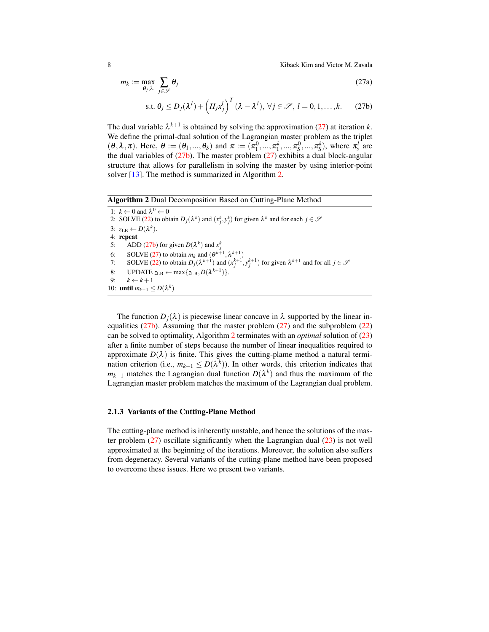8 Kibaek Kim and Victor M. Zavala

<span id="page-7-0"></span> $\mathscr S$ 

$$
m_k := \max_{\theta_j, \lambda} \sum_{j \in \mathscr{S}} \theta_j \tag{27a}
$$

$$
\text{s.t. } \theta_j \le D_j(\lambda^l) + \left(H_j x_j^l\right)^T (\lambda - \lambda^l), \,\forall j \in \mathcal{S},\, l = 0, 1, \dots, k. \tag{27b}
$$

The dual variable  $\lambda^{k+1}$  is obtained by solving the approximation [\(27\)](#page-6-1) at iteration *k*. We define the primal-dual solution of the Lagrangian master problem as the triplet  $(\theta, \lambda, \pi)$ . Here,  $\theta := (\theta_1, ..., \theta_S)$  and  $\pi := (\pi_1^0, ..., \pi_1^k, ..., \pi_S^0, ..., \pi_S^k)$ , where  $\pi_s^l$  are the dual variables of  $(27b)$ . The master problem  $(27)$  exhibits a dual block-angular structure that allows for parallelism in solving the master by using interior-point solver [\[13\]](#page-17-9). The method is summarized in Algorithm [2.](#page-7-1)

<span id="page-7-1"></span>

The function  $D_i(\lambda)$  is piecewise linear concave in  $\lambda$  supported by the linear inequalities  $(27b)$ . Assuming that the master problem  $(27)$  and the subproblem  $(22)$ can be solved to optimality, Algorithm [2](#page-7-1) terminates with an *optimal* solution of [\(23\)](#page-5-1) after a finite number of steps because the number of linear inequalities required to approximate  $D(\lambda)$  is finite. This gives the cutting-plame method a natural termination criterion (i.e.,  $m_{k-1} \leq D(\lambda^k)$ ). In other words, this criterion indicates that  $m_{k-1}$  matches the Lagrangian dual function  $D(\lambda^k)$  and thus the maximum of the Lagrangian master problem matches the maximum of the Lagrangian dual problem.

#### 2.1.3 Variants of the Cutting-Plane Method

The cutting-plane method is inherently unstable, and hence the solutions of the master problem  $(27)$  oscillate significantly when the Lagrangian dual  $(23)$  is not well approximated at the beginning of the iterations. Moreover, the solution also suffers from degeneracy. Several variants of the cutting-plane method have been proposed to overcome these issues. Here we present two variants.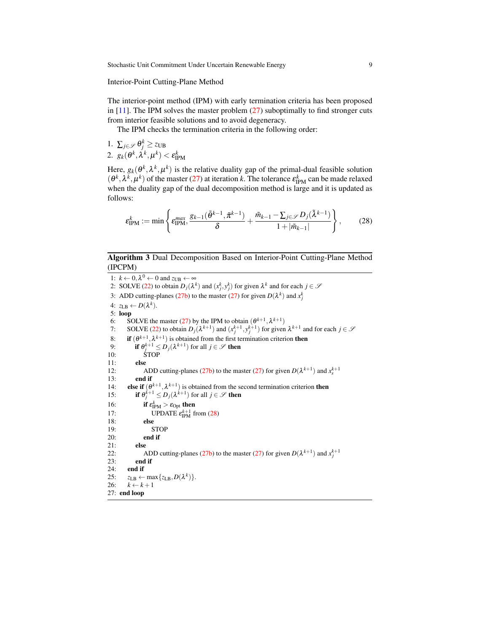Interior-Point Cutting-Plane Method

The interior-point method (IPM) with early termination criteria has been proposed in  $[11]$ . The IPM solves the master problem  $(27)$  suboptimally to find stronger cuts from interior feasible solutions and to avoid degeneracy.

The IPM checks the termination criteria in the following order:

1.  $\sum_{j\in\mathscr{S}}\theta_j^k \geq z_{\text{UB}}$ 2.  $g_k(\theta^k, \lambda^k, \mu^k) < \varepsilon_{\text{IPM}}^k$ 

Here,  $g_k(\theta^k, \lambda^k, \mu^k)$  is the relative duality gap of the primal-dual feasible solution  $(\theta^k, \lambda^k, \mu^k)$  of the master [\(27\)](#page-6-1) at iteration *k*. The tolerance  $\varepsilon_{IPM}^k$  can be made relaxed when the duality gap of the dual decomposition method is large and it is updated as follows:

<span id="page-8-0"></span>
$$
\varepsilon_{\text{IPM}}^k := \min \left\{ \varepsilon_{\text{IPM}}^{max}, \frac{g_{k-1}(\tilde{\theta}^{k-1}, \tilde{\pi}^{k-1})}{\delta} + \frac{\tilde{m}_{k-1} - \sum_{j \in \mathcal{S}} D_j(\tilde{\lambda}^{k-1})}{1 + |\tilde{m}_{k-1}|} \right\},\tag{28}
$$

#### <span id="page-8-1"></span>Algorithm 3 Dual Decomposition Based on Interior-Point Cutting-Plane Method (IPCPM)

1:  $k \leftarrow 0, \lambda^0 \leftarrow 0$  and  $z_{UB} \leftarrow \infty$ 2: SOLVE [\(22\)](#page-5-2) to obtain  $D_j(\lambda^k)$  and  $(x_j^k, y_j^k)$  for given  $\lambda^k$  and for each  $j \in \mathcal{S}$ 3: ADD cutting-planes [\(27b\)](#page-7-0) to the master [\(27\)](#page-6-1) for given  $D(\lambda^k)$  and  $x_j^k$ 4:  $z_{LB} \leftarrow D(\lambda^k)$ . 5: loop 6: SOLVE the master [\(27\)](#page-6-1) by the IPM to obtain  $(\theta^{k+1}, \lambda^{k+1})$ 7: SOLVE [\(22\)](#page-5-2) to obtain  $D_j(\lambda^{k+1})$  and  $(x_j^{k+1}, y_j^{k+1})$  for given  $\lambda^{k+1}$  and for each  $j \in \mathcal{S}$ 8: **if**  $(\theta^{k+1}, \lambda^{k+1})$  is obtained from the first termination criterion **then** 9: **if**  $\theta_j^{k+1} \leq D_j(\lambda^{k+1})$  for all  $j \in \mathcal{S}$  then 10: STOP 11: else 12: ADD cutting-planes [\(27b\)](#page-7-0) to the master [\(27\)](#page-6-1) for given  $D(\lambda^{k+1})$  and  $x_s^{k+1}$ 13: end if 14: **else if**  $(\theta^{k+1}, \lambda^{k+1})$  is obtained from the second termination criterion **then** 15: **if**  $\theta_j^{k+1} \leq D_j(\lambda^{k+1})$  for all  $j \in \mathcal{S}$  then 16: **if**  $\varepsilon_{\text{IPM}}^k > \varepsilon_{\text{Opt}}$  then 17: UPDATE  $\varepsilon_{\text{IPM}}^{k+1}$  from [\(28\)](#page-8-0) 18: else 19: STOP 20: end if 21: else 22: ADD cutting-planes [\(27b\)](#page-7-0) to the master [\(27\)](#page-6-1) for given  $D(\lambda^{k+1})$  and  $x_j^{k+1}$ 23: end if 24: end if 25:  $z_{\text{LB}} \leftarrow \max\{z_{\text{LB}}, D(\lambda^k)\}.$ 26:  $k \leftarrow k+1$ 27: end loop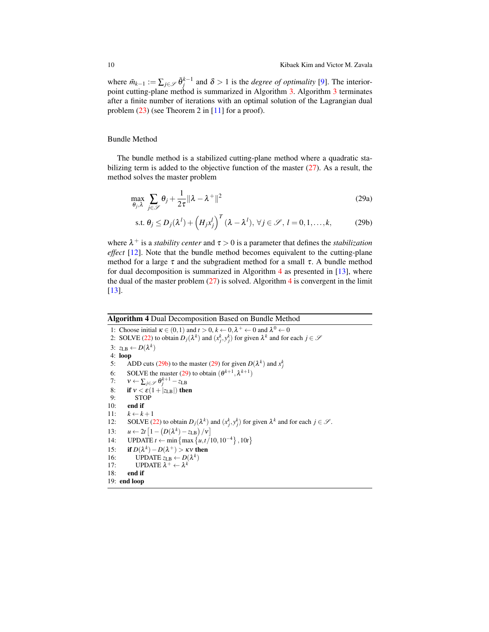where  $\tilde{m}_{k-1} := \sum_{j \in \mathcal{S}} \tilde{\theta}_j^{k-1}$  and  $\delta > 1$  is the *degree of optimality* [\[9\]](#page-17-10). The interiorpoint cutting-plane method is summarized in Algorithm [3.](#page-8-1) Algorithm [3](#page-8-1) terminates after a finite number of iterations with an optimal solution of the Lagrangian dual problem [\(23\)](#page-5-1) (see Theorem 2 in [\[11\]](#page-17-1) for a proof).

Bundle Method

The bundle method is a stabilized cutting-plane method where a quadratic stabilizing term is added to the objective function of the master [\(27\)](#page-6-1). As a result, the method solves the master problem

<span id="page-9-2"></span>
$$
\max_{\theta_j, \lambda} \sum_{j \in \mathscr{S}} \theta_j + \frac{1}{2\tau} \| \lambda - \lambda^+ \|^2
$$
 (29a)

<span id="page-9-1"></span>
$$
\text{s.t. } \theta_j \le D_j(\lambda^l) + \left(H_j x_j^l\right)^T (\lambda - \lambda^l), \ \forall j \in \mathcal{S}, \ l = 0, 1, \dots, k,
$$
 (29b)

where  $\lambda^+$  is a *stability center* and  $\tau > 0$  is a parameter that defines the *stabilization effect* [\[12\]](#page-17-11). Note that the bundle method becomes equivalent to the cutting-plane method for a large  $\tau$  and the subgradient method for a small  $\tau$ . A bundle method for dual decomposition is summarized in Algorithm [4](#page-9-0) as presented in [\[13\]](#page-17-9), where the dual of the master problem  $(27)$  is solved. Algorithm [4](#page-9-0) is convergent in the limit [\[13\]](#page-17-9).

#### <span id="page-9-0"></span>Algorithm 4 Dual Decomposition Based on Bundle Method

1: Choose initial  $\kappa \in (0,1)$  and  $t > 0$ ,  $k \leftarrow 0$ ,  $\lambda^+ \leftarrow 0$  and  $\lambda^0 \leftarrow 0$ 2: SOLVE [\(22\)](#page-5-2) to obtain  $D_j(\lambda^k)$  and  $(x_j^k, y_j^k)$  for given  $\lambda^k$  and for each  $j \in \mathcal{S}$ 3:  $z_{LB} \leftarrow D(\lambda^k)$ 4: loop 5: ADD cuts [\(29b\)](#page-9-1) to the master [\(29\)](#page-9-2) for given  $D(\lambda^k)$  and  $x_j^k$ 6: SOLVE the master [\(29\)](#page-9-2) to obtain  $(\theta^{k+1}, \lambda^{k+1})$ 7:  $v \leftarrow \sum_{j \in \mathscr{S}} \theta_j^{k+1} - z_{\text{LB}}$ 8: **if**  $v < \varepsilon (1 + |z_{LB}|)$  then<br>9: **STOP** STOP 10: end if 11:  $k \leftarrow k+1$ 12: SOLVE [\(22\)](#page-5-2) to obtain  $D_j(\lambda^k)$  and  $(x_j^k, y_j^k)$  for given  $\lambda^k$  and for each  $j \in \mathcal{S}$ . 13:  $u \leftarrow 2t \left[1 - \left(D(\lambda^k) - z_{\text{LB}}\right)/v\right]$ 14: UPDATE *t* ← min { max { $u, t/10, 10^{-4}$ }, 10*t* } 15: if  $D(\lambda^k) - D(\lambda^+) > \kappa v$  then 16: **UPDATE**  $z_{LB} \leftarrow D(\lambda^k)$ 17: **UPDATE**  $\lambda^+ \leftarrow \lambda^k$ 18: end if 19: end loop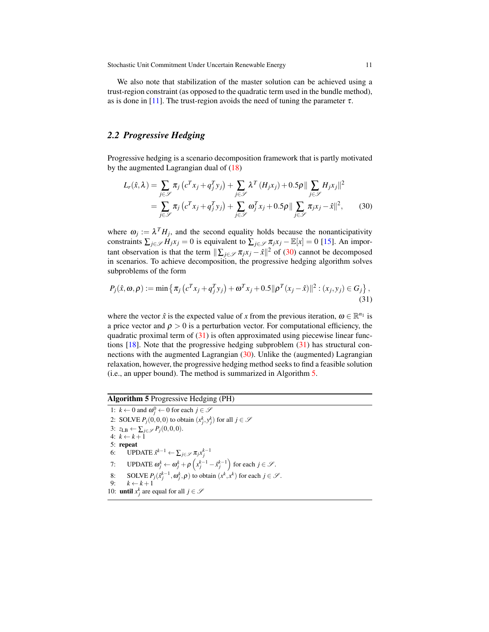We also note that stabilization of the master solution can be achieved using a trust-region constraint (as opposed to the quadratic term used in the bundle method), as is done in [\[11\]](#page-17-1). The trust-region avoids the need of tuning the parameter  $\tau$ .

## *2.2 Progressive Hedging*

Progressive hedging is a scenario decomposition framework that is partly motivated by the augmented Lagrangian dual of [\(18\)](#page-4-2)

<span id="page-10-0"></span>
$$
L_r(\hat{x}, \lambda) = \sum_{j \in \mathscr{S}} \pi_j \left( c^T x_j + q_j^T y_j \right) + \sum_{j \in \mathscr{S}} \lambda^T \left( H_j x_j \right) + 0.5 \rho \| \sum_{j \in \mathscr{S}} H_j x_j \|^2
$$
  
= 
$$
\sum_{j \in \mathscr{S}} \pi_j \left( c^T x_j + q_j^T y_j \right) + \sum_{j \in \mathscr{S}} \omega_j^T x_j + 0.5 \rho \| \sum_{j \in \mathscr{S}} \pi_j x_j - \hat{x} \|^2,
$$
 (30)

where  $\omega_j := \lambda^T H_j$ , and the second equality holds because the nonanticipativity constraints  $\sum_{j \in \mathcal{S}} H_j x_j = 0$  is equivalent to  $\sum_{j \in \mathcal{S}} \pi_j x_j - \mathbb{E}[x] = 0$  [\[15\]](#page-17-12). An important observation is that the term  $\|\sum_{j\in\mathcal{S}} \pi_j x_j - \hat{x}\|^2$  of [\(30\)](#page-10-0) cannot be decomposed in scenarios. To achieve decomposition, the progressive hedging algorithm solves subproblems of the form

<span id="page-10-1"></span>
$$
P_j(\hat{x}, \omega, \rho) := \min \{ \pi_j (c^T x_j + q_j^T y_j) + \omega^T x_j + 0.5 ||\rho^T (x_j - \hat{x})||^2 : (x_j, y_j) \in G_j \},
$$
\n(31)

where the vector  $\hat{x}$  is the expected value of *x* from the previous iteration,  $\omega \in \mathbb{R}^{n_1}$  is a price vector and  $\rho > 0$  is a perturbation vector. For computational efficiency, the quadratic proximal term of  $(31)$  is often approximated using piecewise linear functions  $[18]$ . Note that the progressive hedging subproblem  $(31)$  has structural connections with the augmented Lagrangian [\(30\)](#page-10-0). Unlike the (augmented) Lagrangian relaxation, however, the progressive hedging method seeks to find a feasible solution (i.e., an upper bound). The method is summarized in Algorithm [5.](#page-10-2)

## <span id="page-10-2"></span>Algorithm 5 Progressive Hedging (PH)

1:  $k \leftarrow 0$  and  $\omega_j^0 \leftarrow 0$  for each  $j \in \mathcal{S}$ 2: SOLVE  $P_j(0,0,0)$  to obtain  $(x_j^k, y_j^k)$  for all  $j \in \mathcal{S}$ 3:  $z_{LB} \leftarrow \sum_{j \in \mathcal{S}} P_j(0,0,0).$ 4:  $k \leftarrow k+1$ 5: repeat 6: UPDATE  $\hat{x}^{k-1} \leftarrow \sum_{j \in \mathcal{S}} \pi_j x_j^{k-1}$ 7: UPDATE  $\omega_j^k \leftarrow \omega_j^k + \rho \left( x_j^{k-1} - \hat{x}_j^{k-1} \right)$  for each  $j \in \mathcal{S}$ . 8: SOLVE  $P_j(\hat{x}_j^{k-1}, \omega_j^k, \rho)$  to obtain  $(x^k, x^k)$  for each  $j \in \mathcal{S}$ . 9:  $k \leftarrow k+1$ 10: **until**  $x_j^k$  are equal for all  $j \in \mathcal{S}$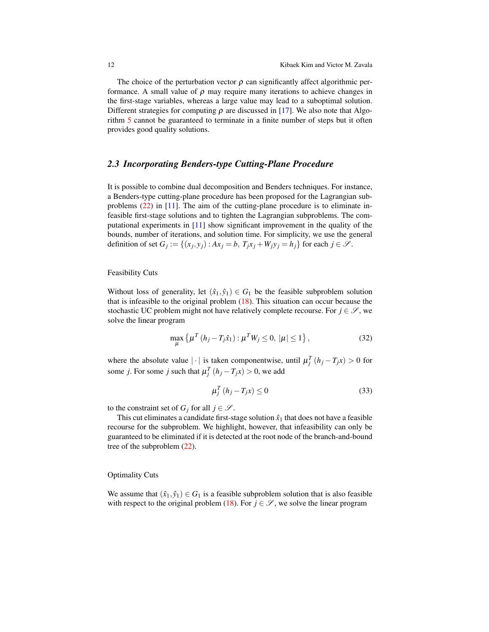The choice of the perturbation vector  $\rho$  can significantly affect algorithmic performance. A small value of  $\rho$  may require many iterations to achieve changes in the first-stage variables, whereas a large value may lead to a suboptimal solution. Different strategies for computing  $\rho$  are discussed in [\[17\]](#page-17-13). We also note that Algorithm [5](#page-10-2) cannot be guaranteed to terminate in a finite number of steps but it often provides good quality solutions.

## *2.3 Incorporating Benders-type Cutting-Plane Procedure*

It is possible to combine dual decomposition and Benders techniques. For instance, a Benders-type cutting-plane procedure has been proposed for the Lagrangian subproblems  $(22)$  in [\[11\]](#page-17-1). The aim of the cutting-plane procedure is to eliminate infeasible first-stage solutions and to tighten the Lagrangian subproblems. The computational experiments in [\[11\]](#page-17-1) show significant improvement in the quality of the bounds, number of iterations, and solution time. For simplicity, we use the general definition of set  $G_j := \{(x_j, y_j) : Ax_j = b, T_jx_j + W_jy_j = h_j\}$  for each  $j \in \mathcal{S}$ .

#### Feasibility Cuts

Without loss of generality, let  $(\hat{x}_1, \hat{y}_1) \in G_1$  be the feasible subproblem solution that is infeasible to the original problem  $(18)$ . This situation can occur because the stochastic UC problem might not have relatively complete recourse. For  $j \in \mathcal{S}$ , we solve the linear program

$$
\max_{\mu} \left\{ \mu^T \left( h_j - T_j \hat{x}_1 \right) : \mu^T W_j \le 0, \, |\mu| \le 1 \right\},\tag{32}
$$

where the absolute value  $|\cdot|$  is taken componentwise, until  $\mu_j^T(h_j - T_j x) > 0$  for some *j*. For some *j* such that  $\mu_j^T(h_j - T_j x) > 0$ , we add

<span id="page-11-1"></span><span id="page-11-0"></span>
$$
\mu_j^T (h_j - T_j x) \le 0 \tag{33}
$$

to the constraint set of  $G_j$  for all  $j \in \mathcal{S}$ .

This cut eliminates a candidate first-stage solution  $\hat{x}_1$  that does not have a feasible recourse for the subproblem. We highlight, however, that infeasibility can only be guaranteed to be eliminated if it is detected at the root node of the branch-and-bound tree of the subproblem [\(22\)](#page-5-2).

Optimality Cuts

We assume that  $(\hat{x}_1, \hat{y}_1) \in G_1$  is a feasible subproblem solution that is also feasible with respect to the original problem [\(18\)](#page-4-2). For  $j \in \mathcal{S}$ , we solve the linear program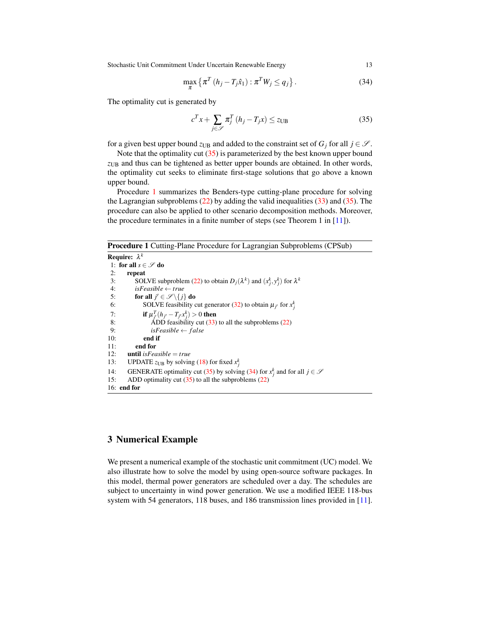Stochastic Unit Commitment Under Uncertain Renewable Energy 13

$$
\max_{\pi} \left\{ \pi^T \left( h_j - T_j \hat{x}_1 \right) : \pi^T W_j \le q_j \right\}.
$$
\n(34)

The optimality cut is generated by

<span id="page-12-2"></span><span id="page-12-0"></span>
$$
c^T x + \sum_{j \in \mathcal{S}} \pi_j^T (h_j - T_j x) \le z_{\text{UB}} \tag{35}
$$

for a given best upper bound  $z_{UB}$  and added to the constraint set of  $G_j$  for all  $j \in \mathcal{S}$ .

Note that the optimality cut  $(35)$  is parameterized by the best known upper bound *z*UB and thus can be tightened as better upper bounds are obtained. In other words, the optimality cut seeks to eliminate first-stage solutions that go above a known upper bound.

Procedure [1](#page-12-1) summarizes the Benders-type cutting-plane procedure for solving the Lagrangian subproblems  $(22)$  by adding the valid inequalities  $(33)$  and  $(35)$ . The procedure can also be applied to other scenario decomposition methods. Moreover, the procedure terminates in a finite number of steps (see Theorem 1 in [\[11\]](#page-17-1)).

<span id="page-12-1"></span>Procedure 1 Cutting-Plane Procedure for Lagrangian Subproblems (CPSub)

```
Require: λ
k
1: for all s \in \mathscr{S} do
2: repeat<br>3: SOI
 (22) to obtain D_j(\lambda^k) and (x_j^k, y_j^k) for \lambda^k4: isFeasible ← true
 5: for all j' \in \mathscr{S} \setminus \{j\} do
 (32) to obtain \mu_{j'} for x_j^k7: if \mu_{j'}^T(h_{j'} - T_{j'}x_j^k) > 0 then
8: \overrightarrow{ADD}(33)(22)
9: isFeasible \leftarrow false10: end if
11: end for 12: until isFeuntil isFeasible = true
13: UPDATE z_{UB}(18) for fixed x_j^k(35)(34) for x_j^k and for all j \in \mathcal{S}15: ADD optimality cut (35) to all the subproblems (22)
16: end for
```
## 3 Numerical Example

We present a numerical example of the stochastic unit commitment (UC) model. We also illustrate how to solve the model by using open-source software packages. In this model, thermal power generators are scheduled over a day. The schedules are subject to uncertainty in wind power generation. We use a modified IEEE 118-bus system with 54 generators, 118 buses, and 186 transmission lines provided in [\[11\]](#page-17-1).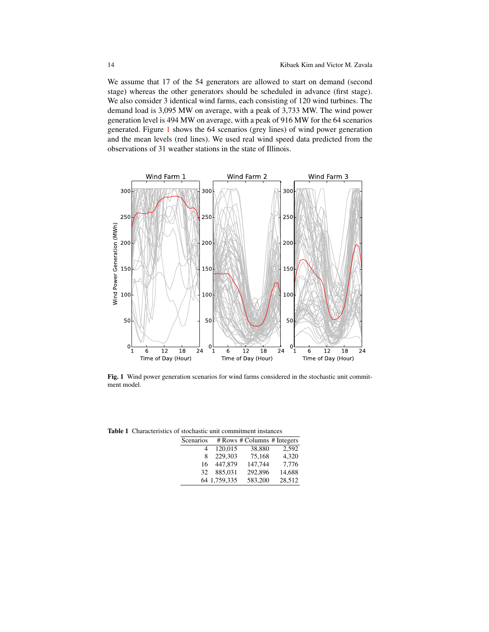We assume that 17 of the 54 generators are allowed to start on demand (second stage) whereas the other generators should be scheduled in advance (first stage). We also consider 3 identical wind farms, each consisting of 120 wind turbines. The demand load is 3,095 MW on average, with a peak of 3,733 MW. The wind power generation level is 494 MW on average, with a peak of 916 MW for the 64 scenarios generated. Figure [1](#page-13-0) shows the 64 scenarios (grey lines) of wind power generation and the mean levels (red lines). We used real wind speed data predicted from the observations of 31 weather stations in the state of Illinois.



<span id="page-13-0"></span>Fig. 1 Wind power generation scenarios for wind farms considered in the stochastic unit commitment model.

|           |              | stochasue unit communiciit mstances |        |
|-----------|--------------|-------------------------------------|--------|
| Scenarios |              | # Rows # Columns # Integers         |        |
| 4         | 120.015      | 38,880                              | 2.592  |
| 8         | 229.303      | 75.168                              | 4.320  |
| 16        | 447,879      | 147.744                             | 7.776  |
| 32        | 885.031      | 292.896                             | 14,688 |
|           | 64 1,759,335 | 583,200                             | 28,512 |

<span id="page-13-1"></span>Table 1 Characteristics of stochastic unit commitment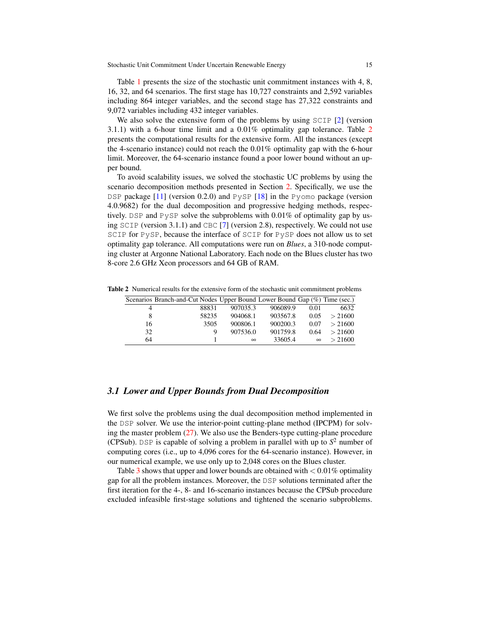Table [1](#page-13-1) presents the size of the stochastic unit commitment instances with 4, 8, 16, 32, and 64 scenarios. The first stage has 10,727 constraints and 2,592 variables including 864 integer variables, and the second stage has 27,322 constraints and 9,072 variables including 432 integer variables.

We also solve the extensive form of the problems by using SCIP [\[2\]](#page-16-1) (version 3.1.1) with a 6-hour time limit and a 0.01% optimality gap tolerance. Table [2](#page-14-0) presents the computational results for the extensive form. All the instances (except the 4-scenario instance) could not reach the 0.01% optimality gap with the 6-hour limit. Moreover, the 64-scenario instance found a poor lower bound without an upper bound.

To avoid scalability issues, we solved the stochastic UC problems by using the scenario decomposition methods presented in Section [2.](#page-4-3) Specifically, we use the DSP package [\[11\]](#page-17-1) (version 0.2.0) and PySP [\[18\]](#page-17-2) in the Pyomo package (version 4.0.9682) for the dual decomposition and progressive hedging methods, respectively. DSP and PySP solve the subproblems with 0.01% of optimality gap by using  $SCIP$  (version 3.1.1) and CBC [\[7\]](#page-17-14) (version 2.8), respectively. We could not use SCIP for PySP, because the interface of SCIP for PySP does not allow us to set optimality gap tolerance. All computations were run on *Blues*, a 310-node computing cluster at Argonne National Laboratory. Each node on the Blues cluster has two 8-core 2.6 GHz Xeon processors and 64 GB of RAM.

Table 2 Numerical results for the extensive form of the stochastic unit commitment problems

<span id="page-14-0"></span>

|    | Scenarios Branch-and-Cut Nodes Upper Bound Lower Bound Gap (%) Time (sec.) |          |          |          |         |
|----|----------------------------------------------------------------------------|----------|----------|----------|---------|
| 4  | 88831                                                                      | 907035.3 | 906089.9 | 0.01     | 6632    |
| 8  | 58235                                                                      | 904068.1 | 903567.8 | 0.05     | > 21600 |
| 16 | 3505                                                                       | 900806.1 | 900200.3 | 0.07     | > 21600 |
| 32 | Q                                                                          | 907536.0 | 901759.8 | 0.64     | > 21600 |
| 64 |                                                                            | $\infty$ | 33605.4  | $\infty$ | > 21600 |

## *3.1 Lower and Upper Bounds from Dual Decomposition*

We first solve the problems using the dual decomposition method implemented in the DSP solver. We use the interior-point cutting-plane method (IPCPM) for solving the master problem  $(27)$ . We also use the Benders-type cutting-plane procedure (CPSub). DSP is capable of solving a problem in parallel with up to  $S<sup>2</sup>$  number of computing cores (i.e., up to 4,096 cores for the 64-scenario instance). However, in our numerical example, we use only up to 2,048 cores on the Blues cluster.

Table [3](#page-15-0) shows that upper and lower bounds are obtained with  $< 0.01\%$  optimality gap for all the problem instances. Moreover, the DSP solutions terminated after the first iteration for the 4-, 8- and 16-scenario instances because the CPSub procedure excluded infeasible first-stage solutions and tightened the scenario subproblems.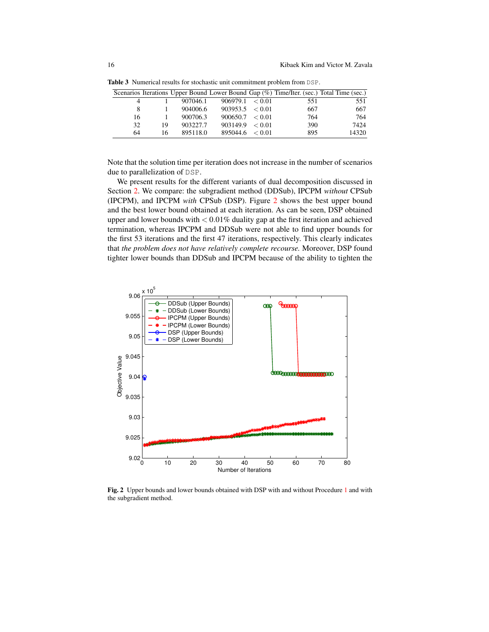<span id="page-15-0"></span>

|    |    |          |                     |     | Scenarios Iterations Upper Bound Lower Bound Gap (%) Time/Iter. (sec.) Total Time (sec.) |
|----|----|----------|---------------------|-----|------------------------------------------------------------------------------------------|
|    |    | 907046.1 | 906979.1 < 0.01     | 551 | 551                                                                                      |
| 8  |    | 904006.6 | $903953.5 \le 0.01$ | 667 | 667                                                                                      |
| 16 |    | 900706.3 | 900650.7 < 0.01     | 764 | 764                                                                                      |
| 32 | 19 | 903227.7 | 903149.9 < 0.01     | 390 | 7424                                                                                     |
| 64 | 16 | 895118.0 | $895044.6 \le 0.01$ | 895 | 14320                                                                                    |

Table 3 Numerical results for stochastic unit commitment problem from DSP.

Note that the solution time per iteration does not increase in the number of scenarios due to parallelization of DSP.

We present results for the different variants of dual decomposition discussed in Section [2.](#page-4-3) We compare: the subgradient method (DDSub), IPCPM *without* CPSub (IPCPM), and IPCPM *with* CPSub (DSP). Figure [2](#page-15-1) shows the best upper bound and the best lower bound obtained at each iteration. As can be seen, DSP obtained upper and lower bounds with  $< 0.01\%$  duality gap at the first iteration and achieved termination, whereas IPCPM and DDSub were not able to find upper bounds for the first 53 iterations and the first 47 iterations, respectively. This clearly indicates that *the problem does not have relatively complete recourse.* Moreover, DSP found tighter lower bounds than DDSub and IPCPM because of the ability to tighten the



<span id="page-15-1"></span>Fig. 2 Upper bounds and lower bounds obtained with DSP with and without Procedure [1](#page-12-1) and with the subgradient method.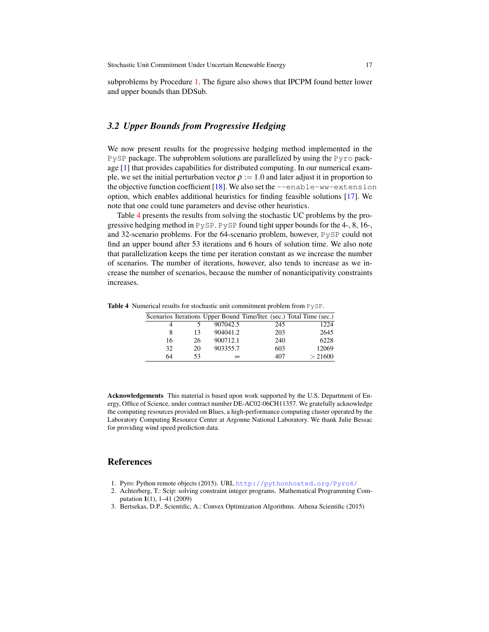subproblems by Procedure [1.](#page-12-1) The figure also shows that IPCPM found better lower and upper bounds than DDSub.

## *3.2 Upper Bounds from Progressive Hedging*

We now present results for the progressive hedging method implemented in the PySP package. The subproblem solutions are parallelized by using the Pyro package [\[1\]](#page-16-2) that provides capabilities for distributed computing. In our numerical example, we set the initial perturbation vector  $\rho := 1.0$  and later adjust it in proportion to the objective function coefficient [\[18\]](#page-17-2). We also set the  $--enable-ww-extension$ option, which enables additional heuristics for finding feasible solutions [\[17\]](#page-17-13). We note that one could tune parameters and devise other heuristics.

Table [4](#page-16-3) presents the results from solving the stochastic UC problems by the progressive hedging method in  $P_{\rm V}$ SP. P $_{\rm V}$ SP found tight upper bounds for the 4-, 8, 16-, and 32-scenario problems. For the 64-scenario problem, however, PySP could not find an upper bound after 53 iterations and 6 hours of solution time. We also note that parallelization keeps the time per iteration constant as we increase the number of scenarios. The number of iterations, however, also tends to increase as we increase the number of scenarios, because the number of nonanticipativity constraints increases.

Table 4 Numerical results for stochastic unit commitment problem from PySP.

<span id="page-16-3"></span>

|    |    |          |     | Scenarios Iterations Upper Bound Time/Iter. (sec.) Total Time (sec.) |
|----|----|----------|-----|----------------------------------------------------------------------|
|    |    | 907042.5 | 245 | 1224                                                                 |
| 8  | 13 | 904041.2 | 203 | 2645                                                                 |
| 16 | 26 | 900712.1 | 240 | 6228                                                                 |
| 32 | 20 | 903355.7 | 603 | 12069                                                                |
| 64 | 53 | $\infty$ | 407 | > 21600                                                              |

Acknowledgements This material is based upon work supported by the U.S. Department of Energy, Office of Science, under contract number DE-AC02-06CH11357. We gratefully acknowledge the computing resources provided on Blues, a high-performance computing cluster operated by the Laboratory Computing Resource Center at Argonne National Laboratory. We thank Julie Bessac for providing wind speed prediction data.

## References

- <span id="page-16-2"></span>1. Pyro: Python remote objects (2015). URL <http://pythonhosted.org/Pyro4/>
- <span id="page-16-1"></span>2. Achterberg, T.: Scip: solving constraint integer programs. Mathematical Programming Computation 1(1), 1–41 (2009)
- <span id="page-16-0"></span>3. Bertsekas, D.P., Scientific, A.: Convex Optimization Algorithms. Athena Scientific (2015)